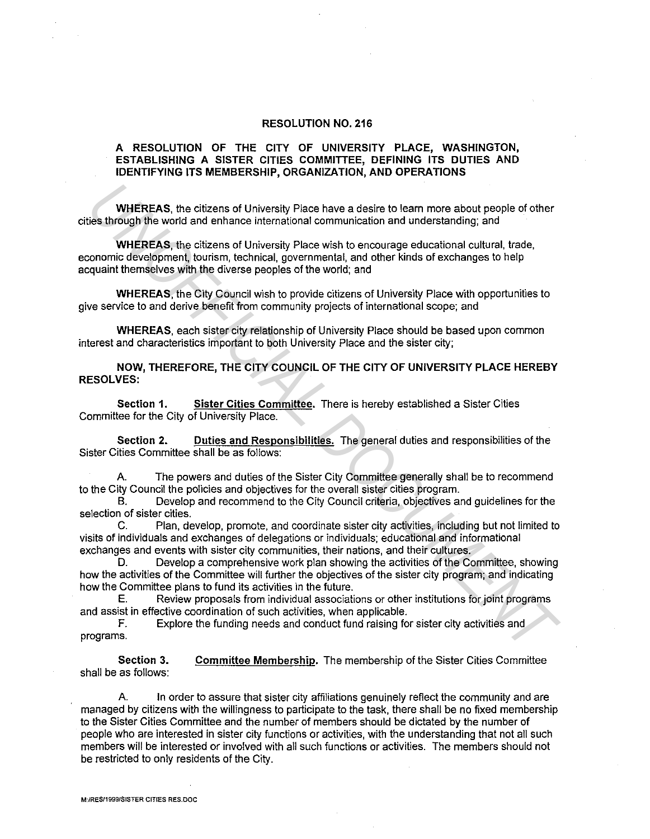## **RESOLUTION NO. 216**

## **A RESOLUTION OF THE CITY OF UNIVERSITY PLACE, WASHINGTON, ESTABLISHING A SISTER CITIES COMMITTEE, DEFINING ITS DUTIES AND IDENTIFYING ITS MEMBERSHIP, ORGANIZATION, AND OPERATIONS**

**WHEREAS,** the citizens of University Place have a desire to learn more about people of other cities through the world and enhance international communication and understanding; and

**WHEREAS,** the citizens of University Place wish to encourage educational cultural, trade, economic development, tourism, technical, governmental, and other kinds of exchanges to help acquaint themselves with the diverse peoples of the world; and

**WHEREAS,** the City Council wish to provide citizens of University Place with opportunities to give service to and derive benefit from community projects of international scope; and

**WHEREAS,** each sister city relationship of University Place should be based upon common interest and characteristics important to both University Place and the sister city;

**NOW, THEREFORE, THE CITY COUNCIL OF THE CITY OF UNIVERSITY PLACE HEREBY RESOLVES:** 

**Section 1. Sister Cities Committee.** There is hereby established a Sister Cities Committee for the City of University Place.

**Section 2. Duties and Responsibilities.** The general duties and responsibilities of the Sister Cities Committee shall be as follows:

A. The powers and duties of the Sister City Committee generally shall be to recommend to the City Council the policies and objectives for the overall sister cities program.

B. Develop and recommend to the City Council criteria, objectives and guidelines for the selection of sister cities.

C. Plan, develop, promote, and coordinate sister city activities, including but not limited to visits of individuals and exchanges of delegations or individuals; educational and informational exchanges and events with sister city communities, their nations, and their cultures.

**D.** Develop a comprehensive work plan showing the activities of the Committee, showing how the activities of the Committee will further the objectives of the sister city program; and indicating how the Committee plans to fund its activities in the future. **WHEREAS**, the citizens of University Place have a desire to learn more about people of other<br>
the strateging file world and enhance international communication and understanding; and<br>
WHEREAS, the citizens of University P

E. Review proposals from individual associations or other institutions for joint programs and assist in effective coordination of such activities, when applicable.

F. Explore the funding needs and conduct fund raising for sister city activities and programs.

**Section 3.**  shall be as follows: **Committee Membership.** The membership of the Sister Cities Committee

A. In order to assure that sister city affiliations genuinely refiect the community and are managed by citizens with the willingness to participate to the task, there shall be no fixed membership to the Sister Cities Committee and the number of members should be dictated by the number of people who are interested in sister city functions or activities, with the understanding that not all such members will be interested or involved with all such functions or activities. The members should not be restricted to only residents of the City.